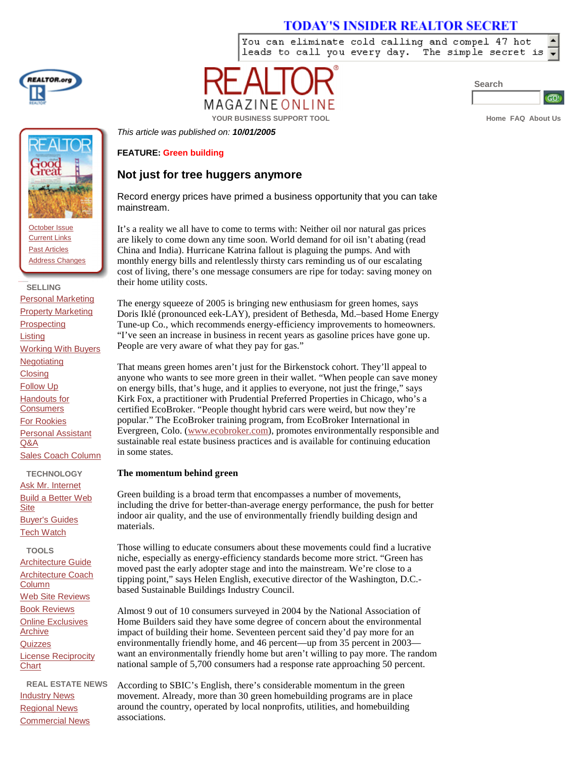# **TODAY'S INSIDER REALTOR SECRET**

You can eliminate cold calling and compel 47 hot leads to call you every day. The simple secret is



**Search**



**YOUR BUSINESS SUPPORT TOOL About Using SUPPORT TOOL** 

*This article was published on: 10/01/2005*

# **FEATURE: Green building**

# **Not just for tree huggers anymore**

Record energy prices have primed a business opportunity that you can take mainstream.

GAZINEON

It's a reality we all have to come to terms with: Neither oil nor natural gas prices are likely to come down any time soon. World demand for oil isn't abating (read China and India). Hurricane Katrina fallout is plaguing the pumps. And with monthly energy bills and relentlessly thirsty cars reminding us of our escalating cost of living, there's one message consumers are ripe for today: saving money on their home utility costs.

The energy squeeze of 2005 is bringing new enthusiasm for green homes, says Doris Iklé (pronounced eek-LAY), president of Bethesda, Md.–based Home Energy Tune-up Co., which recommends energy-efficiency improvements to homeowners. "I've seen an increase in business in recent years as gasoline prices have gone up. People are very aware of what they pay for gas."

That means green homes aren't just for the Birkenstock cohort. They'll appeal to anyone who wants to see more green in their wallet. "When people can save money on energy bills, that's huge, and it applies to everyone, not just the fringe,"says Kirk Fox, a practitioner with Prudential Preferred Properties in Chicago, who's a certified EcoBroker. "People thought hybrid cars were weird, but now they're popular."The EcoBroker training program, from EcoBroker International in Evergreen, Colo. (www.ecobroker.com), promotes environmentally responsible and sustainable real estate business practices and is available for continuing education in some states.

### **The momentum behind green**

Green building is a broad term that encompasses a number of movements, including the drive for better-than-average energy performance, the push for better indoor air quality, and the use of environmentally friendly building design and materials.

Those willing to educate consumers about these movements could find a lucrative niche, especially as energy-efficiency standards become more strict. "Green has moved past the early adopter stage and into the mainstream. We're close to a tipping point,"says Helen English, executive director of the Washington, D.C. based Sustainable Buildings Industry Council.

Almost 9 out of 10 consumers surveyed in 2004 by the National Association of Home Builders said they have some degree of concern about the environmental impact of building their home. Seventeen percent said they'd pay more for an environmentally friendly home, and 46 percent—up from 35 percent in 2003 want an environmentally friendly home but aren't willing to pay more. The random national sample of 5,700 consumers had a response rate approaching 50 percent.

According to SBIC's English, there's considerable momentum in the green movement. Already, more than 30 green homebuilding programs are in place around the country, operated by local nonprofits, utilities, and homebuilding associations.



October Issue Current Links Past Articles Address Changes

 **SELLING** Personal Marketing **Property Marketing Prospecting** Listing Working With Buyers **Negotiating Closing** Follow Up Handouts for **Consumers** For Rookies Personal Assistant Q&A Sales Coach Column

**TECHNOLOGY** Ask Mr. Internet Build a Better Web Site Buyer's Guides **Tech Watch** 

**TOOLS** Architecture Guide Architecture Coach Column Web Site Reviews Book Reviews Online Exclusives Archive **Quizzes** License Reciprocity **Chart** 

**REAL ESTATE NEWS Industry News** Regional News Commercial News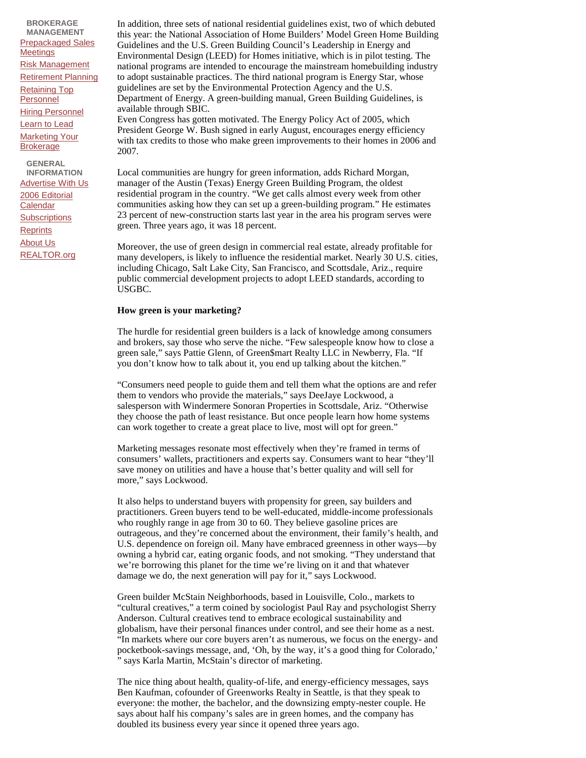**BROKERAGE MANAGEMENT**  Prepackaged Sales **Meetings** Risk Management Retirement Planning Retaining Top Personnel Hiring Personnel Learn to Lead **Marketing Your** Brokerage **GENERAL INFORMATION**

Advertise With Us 2006 Editorial **Calendar Subscriptions Reprints** About Us REALTOR.org

In addition, three sets of national residential guidelines exist, two of which debuted this year: the National Association of Home Builders'Model Green Home Building Guidelines and the U.S. Green Building Council's Leadership in Energy and Environmental Design (LEED) for Homes initiative, which is in pilot testing. The national programs are intended to encourage the mainstream homebuilding industry to adopt sustainable practices. The third national program is Energy Star, whose guidelines are set by the Environmental Protection Agency and the U.S. Department of Energy. A green-building manual, Green Building Guidelines, is available through SBIC.

Even Congress has gotten motivated. The Energy Policy Act of 2005, which President George W. Bush signed in early August, encourages energy efficiency with tax credits to those who make green improvements to their homes in 2006 and 2007.

Local communities are hungry for green information, adds Richard Morgan, manager of the Austin (Texas) Energy Green Building Program, the oldest residential program in the country. "We get calls almost every week from other communities asking how they can set up a green-building program."He estimates 23 percent of new-construction starts last year in the area his program serves were green. Three years ago, it was 18 percent.

Moreover, the use of green design in commercial real estate, already profitable for many developers, is likely to influence the residential market. Nearly 30 U.S. cities, including Chicago, Salt Lake City, San Francisco, and Scottsdale, Ariz., require public commercial development projects to adopt LEED standards, according to USGBC.

#### **How green is your marketing?**

The hurdle for residential green builders is a lack of knowledge among consumers and brokers, say those who serve the niche. "Few salespeople know how to close a green sale,"says Pattie Glenn, of Green\$mart Realty LLC in Newberry, Fla. "If you don't know how to talk about it, you end up talking about the kitchen."

"Consumers need people to guide them and tell them what the options are and refer them to vendors who provide the materials,"says DeeJaye Lockwood, a salesperson with Windermere Sonoran Properties in Scottsdale, Ariz. "Otherwise they choose the path of least resistance. But once people learn how home systems can work together to create a great place to live, most will opt for green."

Marketing messages resonate most effectively when they're framed in terms of consumers'wallets, practitioners and experts say. Consumers want to hear "they'll save money on utilities and have a house that's better quality and will sell for more," says Lockwood.

It also helps to understand buyers with propensity for green, say builders and practitioners. Green buyers tend to be well-educated, middle-income professionals who roughly range in age from 30 to 60. They believe gasoline prices are outrageous, and they're concerned about the environment, their family's health, and U.S. dependence on foreign oil. Many have embraced greenness in other ways— by owning a hybrid car, eating organic foods, and not smoking. "They understand that we're borrowing this planet for the time we're living on it and that whatever damage we do, the next generation will pay for it," says Lockwood.

Green builder McStain Neighborhoods, based in Louisville, Colo., markets to "cultural creatives,"a term coined by sociologist Paul Ray and psychologist Sherry Anderson. Cultural creatives tend to embrace ecological sustainability and globalism, have their personal finances under control, and see their home as a nest. "In markets where our core buyers aren't as numerous, we focus on the energy- and pocketbook-savings message, and, 'Oh, by the way, it's a good thing for Colorado,' "says Karla Martin, McStain's director of marketing.

The nice thing about health, quality-of-life, and energy-efficiency messages, says Ben Kaufman, cofounder of Greenworks Realty in Seattle, is that they speak to everyone: the mother, the bachelor, and the downsizing empty-nester couple. He says about half his company's sales are in green homes, and the company has doubled its business every year since it opened three years ago.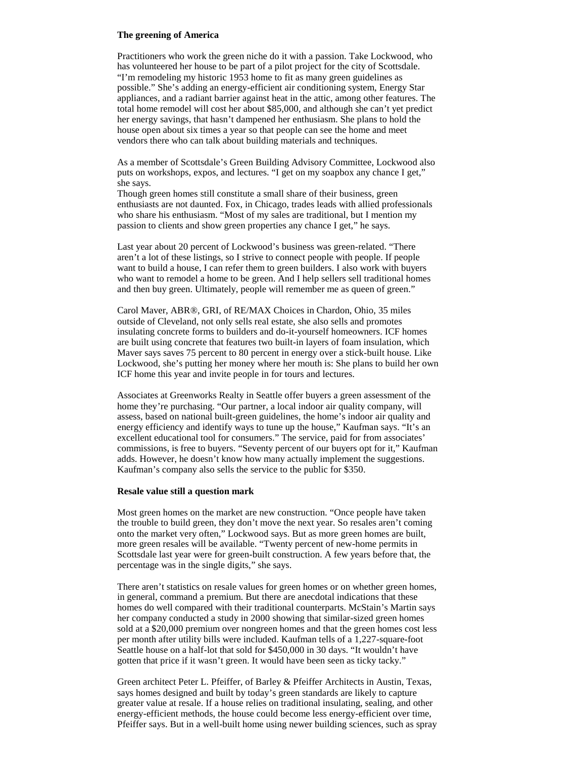#### **The greening of America**

Practitioners who work the green niche do it with a passion. Take Lockwood, who has volunteered her house to be part of a pilot project for the city of Scottsdale. "I'm remodeling my historic 1953 home to fit as many green guidelines as possible."She's adding an energy-efficient air conditioning system, Energy Star appliances, and a radiant barrier against heat in the attic, among other features. The total home remodel will cost her about \$85,000, and although she can't yet predict her energy savings, that hasn't dampened her enthusiasm. She plans to hold the house open about six times a year so that people can see the home and meet vendors there who can talk about building materials and techniques.

As a member of Scottsdale's Green Building Advisory Committee, Lockwood also puts on workshops, expos, and lectures. "I get on my soapbox any chance I get," she says.

Though green homes still constitute a small share of their business, green enthusiasts are not daunted. Fox, in Chicago, trades leads with allied professionals who share his enthusiasm. "Most of my sales are traditional, but I mention my passion to clients and show green properties any chance I get,"he says.

Last year about 20 percent of Lockwood's business was green-related. "There aren't a lot of these listings, so I strive to connect people with people. If people want to build a house, I can refer them to green builders. I also work with buyers who want to remodel a home to be green. And I help sellers sell traditional homes and then buy green. Ultimately, people will remember me as queen of green."

Carol Maver, ABR®, GRI, of RE/MAX Choices in Chardon, Ohio, 35 miles outside of Cleveland, not only sells real estate, she also sells and promotes insulating concrete forms to builders and do-it-yourself homeowners. ICF homes are built using concrete that features two built-in layers of foam insulation, which Maver says saves 75 percent to 80 percent in energy over a stick-built house. Like Lockwood, she's putting her money where her mouth is: She plans to build her own ICF home this year and invite people in for tours and lectures.

Associates at Greenworks Realty in Seattle offer buyers a green assessment of the home they're purchasing. "Our partner, a local indoor air quality company, will assess, based on national built-green guidelines, the home's indoor air quality and energy efficiency and identify ways to tune up the house," Kaufman says. "It's an excellent educational tool for consumers."The service, paid for from associates' commissions, is free to buyers. "Seventy percent of our buyers opt for it,"Kaufman adds. However, he doesn't know how many actually implement the suggestions. Kaufman's company also sells the service to the public for \$350.

#### **Resale value still a question mark**

Most green homes on the market are new construction. "Once people have taken the trouble to build green, they don't move the next year. So resales aren't coming onto the market very often,"Lockwood says. But as more green homes are built, more green resales will be available. "Twenty percent of new-home permits in Scottsdale last year were for green-built construction. A few years before that, the percentage was in the single digits,"she says.

There aren't statistics on resale values for green homes or on whether green homes, in general, command a premium. But there are anecdotal indications that these homes do well compared with their traditional counterparts. McStain's Martin says her company conducted a study in 2000 showing that similar-sized green homes sold at a \$20,000 premium over nongreen homes and that the green homes cost less per month after utility bills were included. Kaufman tells of a 1,227-square-foot Seattle house on a half-lot that sold for \$450,000 in 30 days. "It wouldn't have gotten that price if it wasn't green. It would have been seen as ticky tacky."

Green architect Peter L. Pfeiffer, of Barley & Pfeiffer Architects in Austin, Texas, says homes designed and built by today's green standards are likely to capture greater value at resale. If a house relies on traditional insulating, sealing, and other energy-efficient methods, the house could become less energy-efficient over time, Pfeiffer says. But in a well-built home using newer building sciences, such as spray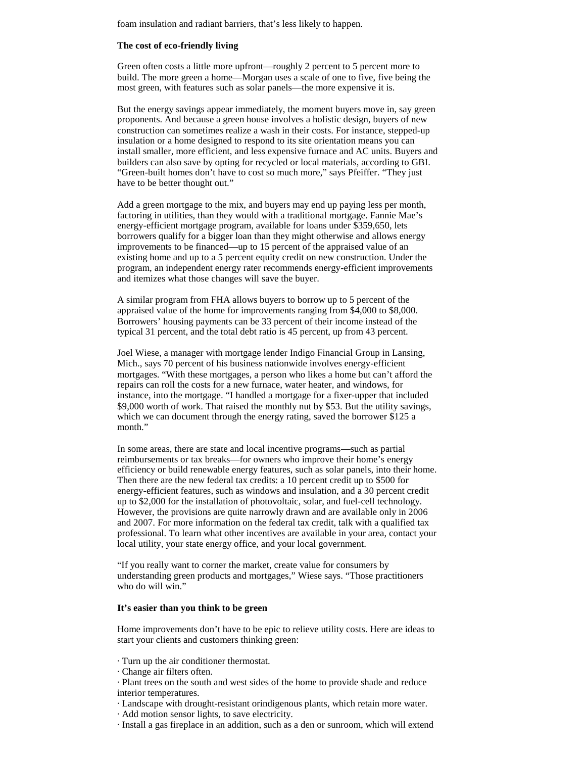foam insulation and radiant barriers, that's less likely to happen.

# **The cost of eco-friendly living**

Green often costs a little more upfront— roughly 2 percent to 5 percent more to build. The more green a home— Morgan uses a scale of one to five, five being the most green, with features such as solar panels— the more expensive it is.

But the energy savings appear immediately, the moment buyers move in, say green proponents. And because a green house involves a holistic design, buyers of new construction can sometimes realize a wash in their costs. For instance, stepped-up insulation or a home designed to respond to its site orientation means you can install smaller, more efficient, and less expensive furnace and AC units. Buyers and builders can also save by opting for recycled or local materials, according to GBI. "Green-built homes don't have to cost so much more,"says Pfeiffer. "They just have to be better thought out."

Add a green mortgage to the mix, and buyers may end up paying less per month, factoring in utilities, than they would with a traditional mortgage. Fannie Mae's energy-efficient mortgage program, available for loans under \$359,650, lets borrowers qualify for a bigger loan than they might otherwise and allows energy improvements to be financed— up to 15 percent of the appraised value of an existing home and up to a 5 percent equity credit on new construction. Under the program, an independent energy rater recommends energy-efficient improvements and itemizes what those changes will save the buyer.

A similar program from FHA allows buyers to borrow up to 5 percent of the appraised value of the home for improvements ranging from \$4,000 to \$8,000. Borrowers' housing payments can be 33 percent of their income instead of the typical 31 percent, and the total debt ratio is 45 percent, up from 43 percent.

Joel Wiese, a manager with mortgage lender Indigo Financial Group in Lansing, Mich., says 70 percent of his business nationwide involves energy-efficient mortgages. "With these mortgages, a person who likes a home but can't afford the repairs can roll the costs for a new furnace, water heater, and windows, for instance, into the mortgage. "I handled a mortgage for a fixer-upper that included \$9,000 worth of work. That raised the monthly nut by \$53. But the utility savings, which we can document through the energy rating, saved the borrower \$125 a month."

In some areas, there are state and local incentive programs— such as partial reimbursements or tax breaks— for owners who improve their home's energy efficiency or build renewable energy features, such as solar panels, into their home. Then there are the new federal tax credits: a 10 percent credit up to \$500 for energy-efficient features, such as windows and insulation, and a 30 percent credit up to \$2,000 for the installation of photovoltaic, solar, and fuel-cell technology. However, the provisions are quite narrowly drawn and are available only in 2006 and 2007. For more information on the federal tax credit, talk with a qualified tax professional. To learn what other incentives are available in your area, contact your local utility, your state energy office, and your local government.

"If you really want to corner the market, create value for consumers by understanding green products and mortgages,"Wiese says. "Those practitioners who do will win."

#### **It's easier than you think to be green**

Home improvements don't have to be epic to relieve utility costs. Here are ideas to start your clients and customers thinking green:

- · Turn up the air conditioner thermostat.
- · Change air filters often.

· Plant trees on the south and west sides of the home to provide shade and reduce interior temperatures.

- · Landscape with drought-resistant orindigenous plants, which retain more water.
- · Add motion sensor lights, to save electricity.
- · Install a gas fireplace in an addition, such as a den or sunroom, which will extend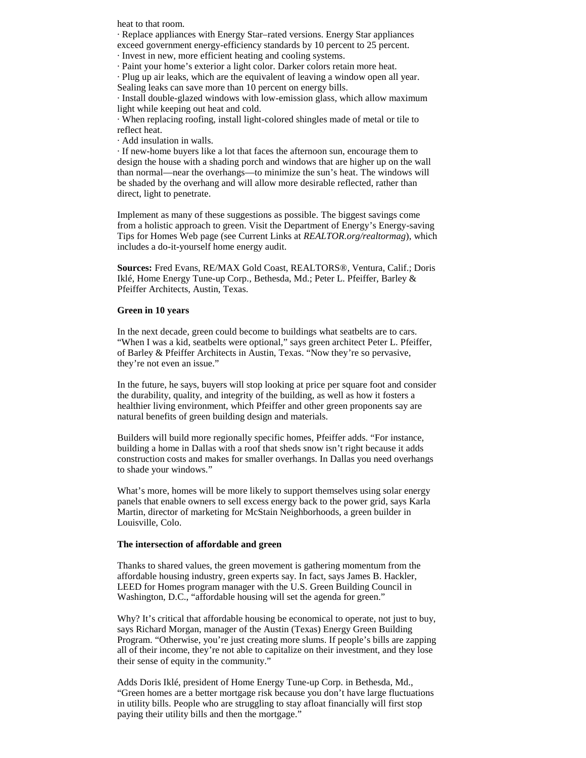heat to that room.

· Replace appliances with Energy Star–rated versions. Energy Star appliances

exceed government energy-efficiency standards by 10 percent to 25 percent.

· Invest in new, more efficient heating and cooling systems.

· Paint your home's exterior a light color. Darker colors retain more heat.

· Plug up air leaks, which are the equivalent of leaving a window open all year. Sealing leaks can save more than 10 percent on energy bills.

· Install double-glazed windows with low-emission glass, which allow maximum light while keeping out heat and cold.

· When replacing roofing, install light-colored shingles made of metal or tile to reflect heat.

· Add insulation in walls.

· If new-home buyers like a lot that faces the afternoon sun, encourage them to design the house with a shading porch and windows that are higher up on the wall than normal— near the overhangs— to minimize the sun's heat. The windows will be shaded by the overhang and will allow more desirable reflected, rather than direct, light to penetrate.

Implement as many of these suggestions as possible. The biggest savings come from a holistic approach to green. Visit the Department of Energy's Energy-saving Tips for Homes Web page (see Current Links at *REALTOR.org/realtormag*), which includes a do-it-yourself home energy audit.

**Sources:** Fred Evans, RE/MAX Gold Coast, REALTORS®, Ventura, Calif.; Doris Iklé, Home Energy Tune-up Corp., Bethesda, Md.; Peter L. Pfeiffer, Barley & Pfeiffer Architects, Austin, Texas.

#### **Green in 10 years**

In the next decade, green could become to buildings what seatbelts are to cars. "When I was a kid, seatbelts were optional," says green architect Peter L. Pfeiffer, of Barley & Pfeiffer Architects in Austin, Texas. "Now they're so pervasive, they're not even an issue."

In the future, he says, buyers will stop looking at price per square foot and consider the durability, quality, and integrity of the building, as well as how it fosters a healthier living environment, which Pfeiffer and other green proponents say are natural benefits of green building design and materials.

Builders will build more regionally specific homes, Pfeiffer adds. "For instance, building a home in Dallas with a roof that sheds snow isn't right because it adds construction costs and makes for smaller overhangs. In Dallas you need overhangs to shade your windows."

What's more, homes will be more likely to support themselves using solar energy panels that enable owners to sell excess energy back to the power grid, says Karla Martin, director of marketing for McStain Neighborhoods, a green builder in Louisville, Colo.

#### **The intersection of affordable and green**

Thanks to shared values, the green movement is gathering momentum from the affordable housing industry, green experts say. In fact, says James B. Hackler, LEED for Homes program manager with the U.S. Green Building Council in Washington, D.C., "affordable housing will set the agenda for green."

Why? It's critical that affordable housing be economical to operate, not just to buy, says Richard Morgan, manager of the Austin (Texas) Energy Green Building Program. "Otherwise, you're just creating more slums. If people's bills are zapping all of their income, they're not able to capitalize on their investment, and they lose their sense of equity in the community."

Adds Doris Iklé, president of Home Energy Tune-up Corp. in Bethesda, Md., "Green homes are a better mortgage risk because you don't have large fluctuations in utility bills. People who are struggling to stay afloat financially will first stop paying their utility bills and then the mortgage."